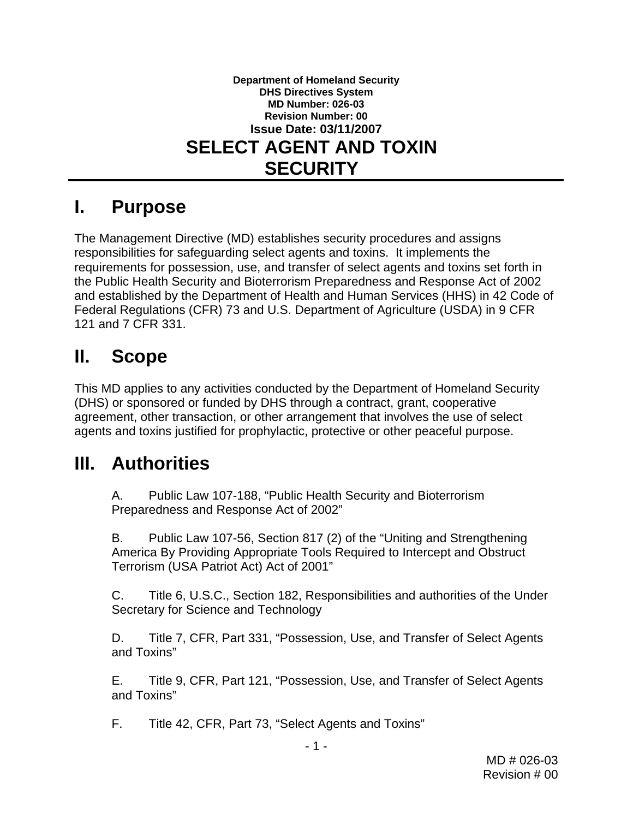#### **Department of Homeland Security DHS Directives System MD Number: 026-03 Revision Number: 00 Issue Date: 03/11/2007 SELECT AGENT AND TOXIN SECURITY**

### **I. Purpose**

The Management Directive (MD) establishes security procedures and assigns responsibilities for safeguarding select agents and toxins. It implements the requirements for possession, use, and transfer of select agents and toxins set forth in the Public Health Security and Bioterrorism Preparedness and Response Act of 2002 and established by the Department of Health and Human Services (HHS) in 42 Code of Federal Regulations (CFR) 73 and U.S. Department of Agriculture (USDA) in 9 CFR 121 and 7 CFR 331.

## **II. Scope**

This MD applies to any activities conducted by the Department of Homeland Security (DHS) or sponsored or funded by DHS through a contract, grant, cooperative agreement, other transaction, or other arrangement that involves the use of select agents and toxins justified for prophylactic, protective or other peaceful purpose.

## <span id="page-0-2"></span>**III. Authorities**

A. Public Law 107-188, "Public Health Security and Bioterrorism Preparedness and Response Act of 2002"

B. Public Law 107-56, Section 817 (2) of the "Uniting and Strengthening America By Providing Appropriate Tools Required to Intercept and Obstruct Terrorism (USA Patriot Act) Act of 2001"

C. Title 6, U.S.C., Section 182, Responsibilities and authorities of the Under Secretary for Science and Technology

<span id="page-0-3"></span>D. Title 7, CFR, Part 331, "Possession, Use, and Transfer of Select Agents and Toxins"

<span id="page-0-0"></span>E. Title 9, CFR, Part 121, "Possession, Use, and Transfer of Select Agents and Toxins"

<span id="page-0-1"></span>F. Title 42, CFR, Part 73, "Select Agents and Toxins"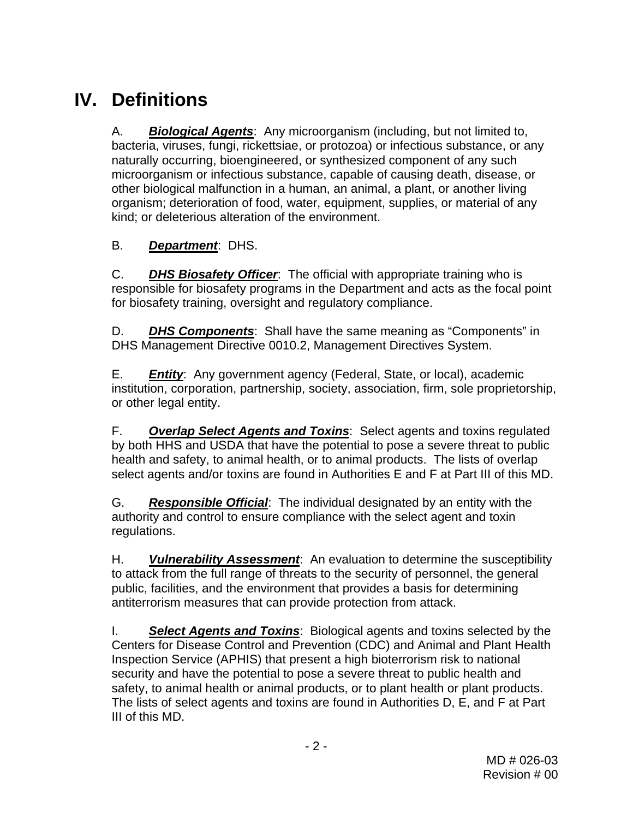# **IV. Definitions**

A. *Biological Agents*: Any microorganism (including, but not limited to, bacteria, viruses, fungi, rickettsiae, or protozoa) or infectious substance, or any naturally occurring, bioengineered, or synthesized component of any such microorganism or infectious substance, capable of causing death, disease, or other biological malfunction in a human, an animal, a plant, or another living organism; deterioration of food, water, equipment, supplies, or material of any kind; or deleterious alteration of the environment.

### B. *Department*: DHS.

C. *DHS Biosafety Officer*: The official with appropriate training who is responsible for biosafety programs in the Department and acts as the focal point for biosafety training, oversight and regulatory compliance.

D. *DHS Components*: Shall have the same meaning as "Components" in DHS Management Directive 0010.2, Management Directives System.

E. *Entity*: Any government agency (Federal, State, or local), academic institution, corporation, partnership, society, association, firm, sole proprietorship, or other legal entity.

F. *Overlap Select Agents and Toxins*: Select agents and toxins regulated by both HHS and USDA that have the potential to pose a severe threat to public health and safety, to animal health, or to animal products. The lists of overlap select agents and/or toxins are found in Authorities [E](#page-0-0) and [F](#page-0-1) at Part [III](#page-0-2) of this MD.

G. *Responsible Official*: The individual designated by an entity with the authority and control to ensure compliance with the select agent and toxin regulations.

H. *Vulnerability Assessment*: An evaluation to determine the susceptibility to attack from the full range of threats to the security of personnel, the general public, facilities, and the environment that provides a basis for determining antiterrorism measures that can provide protection from attack.

I. *Select Agents and Toxins*: Biological agents and toxins selected by the Centers for Disease Control and Prevention (CDC) and Animal and Plant Health Inspection Service (APHIS) that present a high bioterrorism risk to national security and have the potential to pose a severe threat to public health and safety, to animal health or animal products, or to plant health or plant products. The lists of select agents and toxins are found in Authorities [D,](#page-0-3) [E,](#page-0-0) and [F](#page-0-1) at Part [III](#page-0-2) of this MD.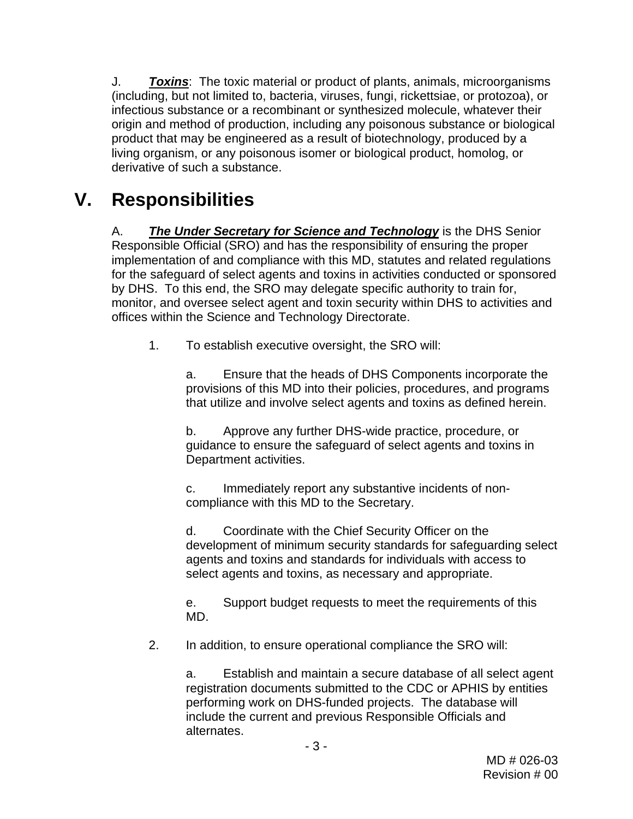J. *Toxins*: The toxic material or product of plants, animals, microorganisms (including, but not limited to, bacteria, viruses, fungi, rickettsiae, or protozoa), or infectious substance or a recombinant or synthesized molecule, whatever their origin and method of production, including any poisonous substance or biological product that may be engineered as a result of biotechnology, produced by a living organism, or any poisonous isomer or biological product, homolog, or derivative of such a substance.

## <span id="page-2-0"></span>**V. Responsibilities**

A. *The Under Secretary for Science and Technology* is the DHS Senior Responsible Official (SRO) and has the responsibility of ensuring the proper implementation of and compliance with this MD, statutes and related regulations for the safeguard of select agents and toxins in activities conducted or sponsored by DHS. To this end, the SRO may delegate specific authority to train for, monitor, and oversee select agent and toxin security within DHS to activities and offices within the Science and Technology Directorate.

1. To establish executive oversight, the SRO will:

a. Ensure that the heads of DHS Components incorporate the provisions of this MD into their policies, procedures, and programs that utilize and involve select agents and toxins as defined herein.

b. Approve any further DHS-wide practice, procedure, or guidance to ensure the safeguard of select agents and toxins in Department activities.

c. Immediately report any substantive incidents of noncompliance with this MD to the Secretary.

d. Coordinate with the Chief Security Officer on the development of minimum security standards for safeguarding select agents and toxins and standards for individuals with access to select agents and toxins, as necessary and appropriate.

e. Support budget requests to meet the requirements of this MD.

2. In addition, to ensure operational compliance the SRO will:

a. Establish and maintain a secure database of all select agent registration documents submitted to the CDC or APHIS by entities performing work on DHS-funded projects. The database will include the current and previous Responsible Officials and alternates.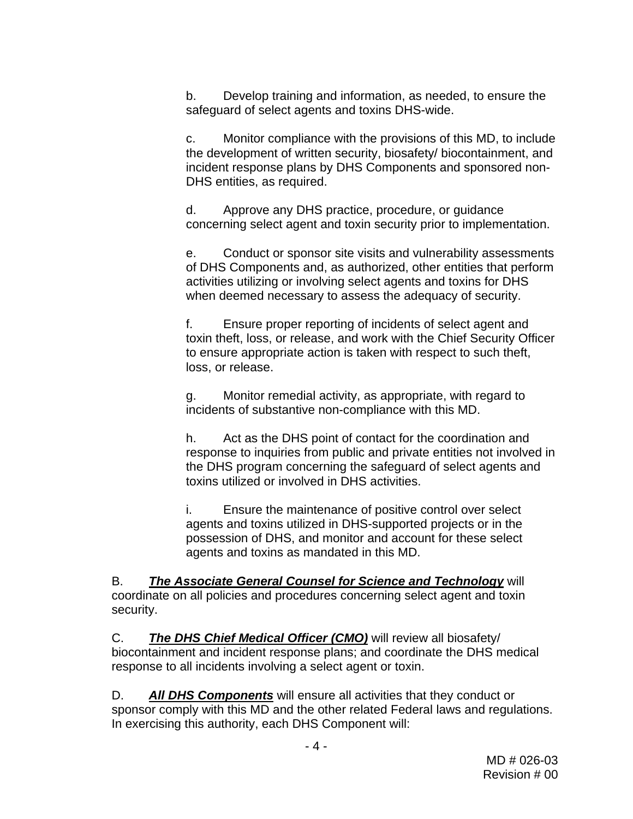b. Develop training and information, as needed, to ensure the safeguard of select agents and toxins DHS-wide.

c. Monitor compliance with the provisions of this MD, to include the development of written security, biosafety/ biocontainment, and incident response plans by DHS Components and sponsored non-DHS entities, as required.

d. Approve any DHS practice, procedure, or guidance concerning select agent and toxin security prior to implementation.

e. Conduct or sponsor site visits and vulnerability assessments of DHS Components and, as authorized, other entities that perform activities utilizing or involving select agents and toxins for DHS when deemed necessary to assess the adequacy of security.

f. Ensure proper reporting of incidents of select agent and toxin theft, loss, or release, and work with the Chief Security Officer to ensure appropriate action is taken with respect to such theft, loss, or release.

g. Monitor remedial activity, as appropriate, with regard to incidents of substantive non-compliance with this MD.

h. Act as the DHS point of contact for the coordination and response to inquiries from public and private entities not involved in the DHS program concerning the safeguard of select agents and toxins utilized or involved in DHS activities.

i. Ensure the maintenance of positive control over select agents and toxins utilized in DHS-supported projects or in the possession of DHS, and monitor and account for these select agents and toxins as mandated in this MD.

B. *The Associate General Counsel for Science and Technology* will coordinate on all policies and procedures concerning select agent and toxin security.

C. *The DHS Chief Medical Officer (CMO)* will review all biosafety/ biocontainment and incident response plans; and coordinate the DHS medical response to all incidents involving a select agent or toxin.

D. *All DHS Components* will ensure all activities that they conduct or sponsor comply with this MD and the other related Federal laws and regulations. In exercising this authority, each DHS Component will: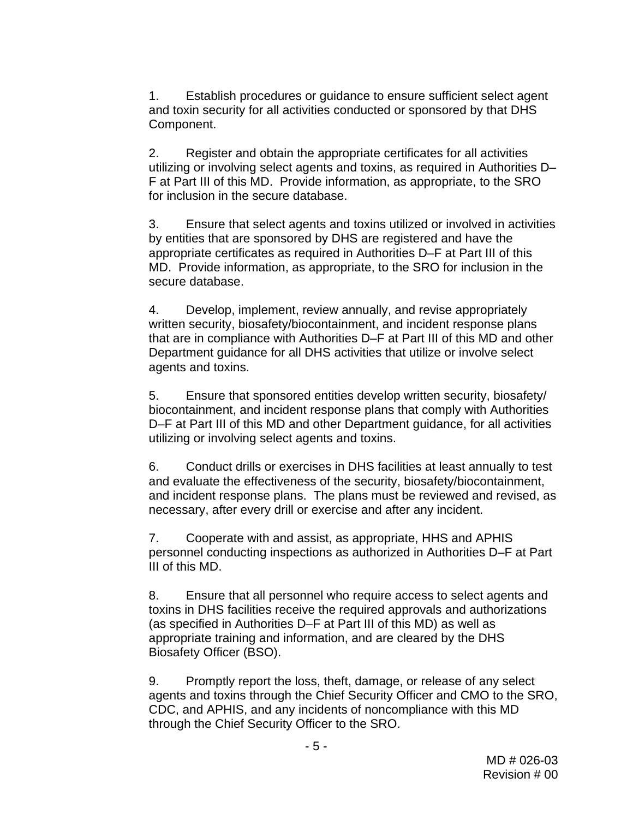1. Establish procedures or guidance to ensure sufficient select agent and toxin security for all activities conducted or sponsored by that DHS Component.

2. Register and obtain the appropriate certificates for all activities utilizing or involving select agents and toxins, as required in Authorities [D–](#page-0-3) [F](#page-0-1) at Part [III](#page-0-2) of this MD. Provide information, as appropriate, to the SRO for inclusion in the secure database.

3. Ensure that select agents and toxins utilized or involved in activities by entities that are sponsored by DHS are registered and have the appropriate certificates as required in Authorities [D](#page-0-3)[–F](#page-0-1) at Part [III](#page-0-2) of this MD. Provide information, as appropriate, to the SRO for inclusion in the secure database.

4. Develop, implement, review annually, and revise appropriately written security, biosafety/biocontainment, and incident response plans that are in compliance with Authorities [D](#page-0-3)–[F](#page-0-1) at Part [III](#page-0-2) of this MD and other Department guidance for all DHS activities that utilize or involve select agents and toxins.

5. Ensure that sponsored entities develop written security, biosafety/ biocontainment, and incident response plans that comply with Authorities [D–](#page-0-3)[F](#page-0-1) at Part [III](#page-0-2) of this MD and other Department guidance, for all activities utilizing or involving select agents and toxins.

6. Conduct drills or exercises in DHS facilities at least annually to test and evaluate the effectiveness of the security, biosafety/biocontainment, and incident response plans. The plans must be reviewed and revised, as necessary, after every drill or exercise and after any incident.

7. Cooperate with and assist, as appropriate, HHS and APHIS personnel conducting inspections as authorized in Authorities [D–](#page-0-3)[F](#page-0-1) at Part [III](#page-0-2) of this MD.

8. Ensure that all personnel who require access to select agents and toxins in DHS facilities receive the required approvals and authorizations (as specified in Authorities [D](#page-0-3)–[F](#page-0-1) at Part [III](#page-0-2) of this MD) as well as appropriate training and information, and are cleared by the DHS Biosafety Officer (BSO).

9. Promptly report the loss, theft, damage, or release of any select agents and toxins through the Chief Security Officer and CMO to the SRO, CDC, and APHIS, and any incidents of noncompliance with this MD through the Chief Security Officer to the SRO.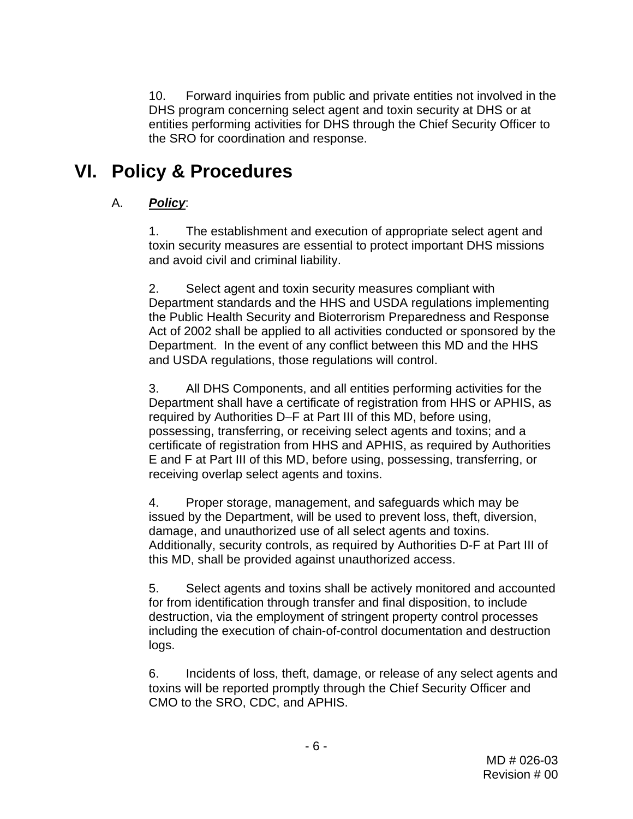10. Forward inquiries from public and private entities not involved in the DHS program concerning select agent and toxin security at DHS or at entities performing activities for DHS through the Chief Security Officer to the SRO for coordination and response.

## **VI. Policy & Procedures**

### A. *Policy*:

1. The establishment and execution of appropriate select agent and toxin security measures are essential to protect important DHS missions and avoid civil and criminal liability.

2. Select agent and toxin security measures compliant with Department standards and the HHS and USDA regulations implementing the Public Health Security and Bioterrorism Preparedness and Response Act of 2002 shall be applied to all activities conducted or sponsored by the Department. In the event of any conflict between this MD and the HHS and USDA regulations, those regulations will control.

3. All DHS Components, and all entities performing activities for the Department shall have a certificate of registration from HHS or APHIS, as required by Authorities [D](#page-0-3)–[F](#page-0-1) at Part [III](#page-0-2) of this MD, before using, possessing, transferring, or receiving select agents and toxins; and a certificate of registration from HHS and APHIS, as required by Authorities [E](#page-0-0) and [F](#page-0-1) at Part [III](#page-0-2) of this MD, before using, possessing, transferring, or receiving overlap select agents and toxins.

4. Proper storage, management, and safeguards which may be issued by the Department, will be used to prevent loss, theft, diversion, damage, and unauthorized use of all select agents and toxins. Additionally, security controls, as required by Authorities [D-](#page-0-3)[F](#page-0-1) at Part [III](#page-0-2) of this MD, shall be provided against unauthorized access.

5. Select agents and toxins shall be actively monitored and accounted for from identification through transfer and final disposition, to include destruction, via the employment of stringent property control processes including the execution of chain-of-control documentation and destruction logs.

6. Incidents of loss, theft, damage, or release of any select agents and toxins will be reported promptly through the Chief Security Officer and CMO to the SRO, CDC, and APHIS.